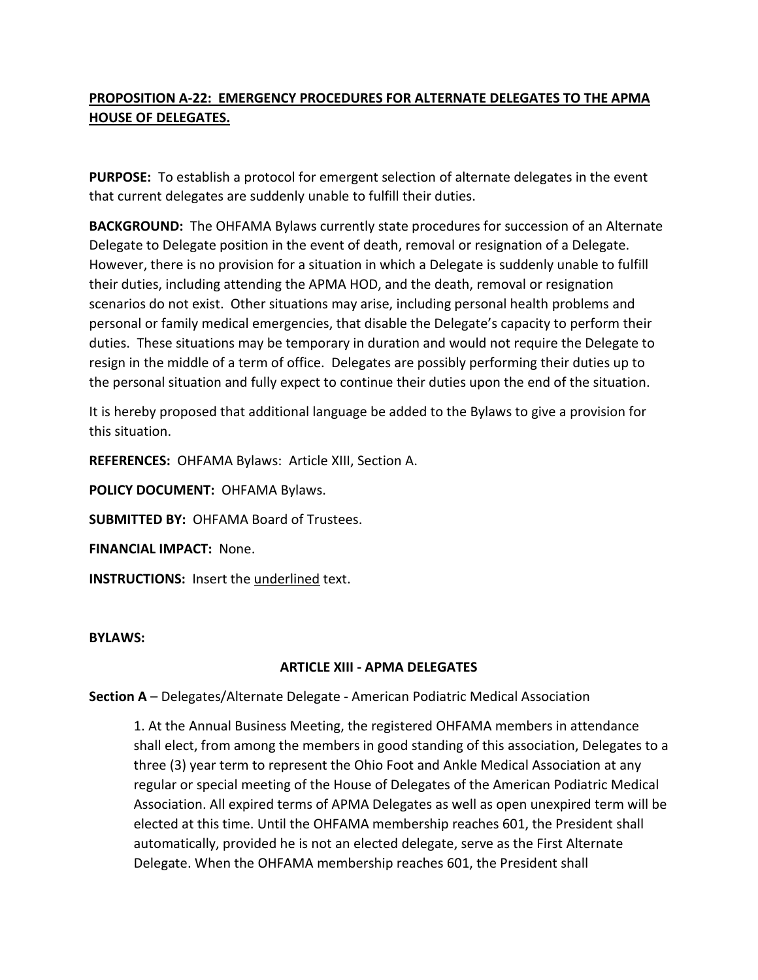## **PROPOSITION A-22: EMERGENCY PROCEDURES FOR ALTERNATE DELEGATES TO THE APMA HOUSE OF DELEGATES.**

**PURPOSE:** To establish a protocol for emergent selection of alternate delegates in the event that current delegates are suddenly unable to fulfill their duties.

**BACKGROUND:** The OHFAMA Bylaws currently state procedures for succession of an Alternate Delegate to Delegate position in the event of death, removal or resignation of a Delegate. However, there is no provision for a situation in which a Delegate is suddenly unable to fulfill their duties, including attending the APMA HOD, and the death, removal or resignation scenarios do not exist. Other situations may arise, including personal health problems and personal or family medical emergencies, that disable the Delegate's capacity to perform their duties. These situations may be temporary in duration and would not require the Delegate to resign in the middle of a term of office. Delegates are possibly performing their duties up to the personal situation and fully expect to continue their duties upon the end of the situation.

It is hereby proposed that additional language be added to the Bylaws to give a provision for this situation.

**REFERENCES:** OHFAMA Bylaws: Article XIII, Section A.

**POLICY DOCUMENT:** OHFAMA Bylaws.

**SUBMITTED BY:** OHFAMA Board of Trustees.

**FINANCIAL IMPACT:** None.

**INSTRUCTIONS:** Insert the underlined text.

**BYLAWS:**

## **ARTICLE XIII - APMA DELEGATES**

**Section A** – Delegates/Alternate Delegate - American Podiatric Medical Association

1. At the Annual Business Meeting, the registered OHFAMA members in attendance shall elect, from among the members in good standing of this association, Delegates to a three (3) year term to represent the Ohio Foot and Ankle Medical Association at any regular or special meeting of the House of Delegates of the American Podiatric Medical Association. All expired terms of APMA Delegates as well as open unexpired term will be elected at this time. Until the OHFAMA membership reaches 601, the President shall automatically, provided he is not an elected delegate, serve as the First Alternate Delegate. When the OHFAMA membership reaches 601, the President shall